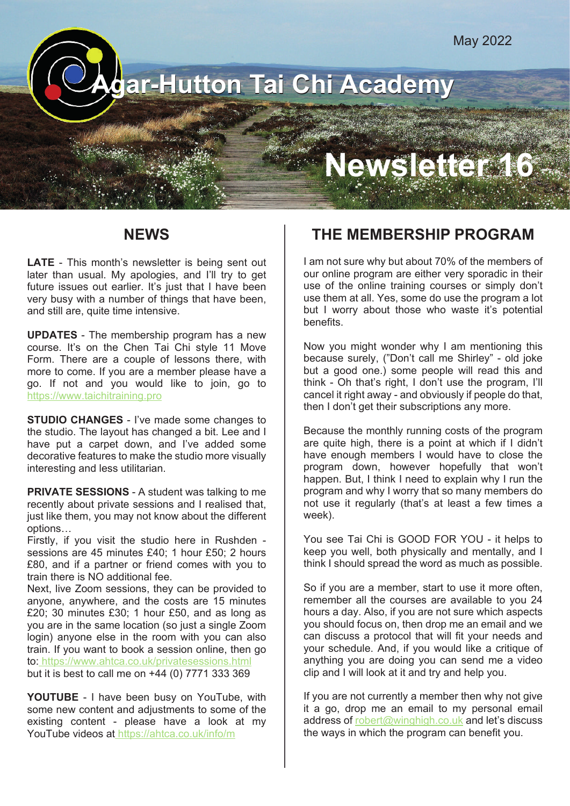## **Agar-Hutton Tai Chi Academy**

# **Newsletter 16**

#### **NEWS**

**LATE** - This month's newsletter is being sent out later than usual. My apologies, and I'll try to get future issues out earlier. It's just that I have been very busy with a number of things that have been, and still are, quite time intensive.

**UPDATES** - The membership program has a new course. It's on the Chen Tai Chi style 11 Move Form. There are a couple of lessons there, with more to come. If you are a member please have a go. If not and you would like to join, go to https://www.taichitraining.pro

**STUDIO CHANGES** - I've made some changes to the studio. The layout has changed a bit. Lee and I have put a carpet down, and I've added some decorative features to make the studio more visually interesting and less utilitarian.

**PRIVATE SESSIONS** - A student was talking to me recently about private sessions and I realised that, just like them, you may not know about the different options…

Firstly, if you visit the studio here in Rushden sessions are 45 minutes £40; 1 hour £50; 2 hours £80, and if a partner or friend comes with you to train there is NO additional fee.

Next, live Zoom sessions, they can be provided to anyone, anywhere, and the costs are 15 minutes £20; 30 minutes £30; 1 hour £50, and as long as you are in the same location (so just a single Zoom login) anyone else in the room with you can also train. If you want to book a session online, then go to: https://www.ahtca.co.uk/privatesessions.html but it is best to call me on +44 (0) 7771 333 369

**YOUTUBE** - I have been busy on YouTube, with some new content and adjustments to some of the existing content - please have a look at my YouTube videos at https://ahtca.co.uk/info/m

### **THE MEMBERSHIP PROGRAM**

I am not sure why but about 70% of the members of our online program are either very sporadic in their use of the online training courses or simply don't use them at all. Yes, some do use the program a lot but I worry about those who waste it's potential benefits.

Now you might wonder why I am mentioning this because surely, ("Don't call me Shirley" - old joke but a good one.) some people will read this and think - Oh that's right, I don't use the program, I'll cancel it right away - and obviously if people do that, then I don't get their subscriptions any more.

Because the monthly running costs of the program are quite high, there is a point at which if I didn't have enough members I would have to close the program down, however hopefully that won't happen. But, I think I need to explain why I run the program and why I worry that so many members do not use it regularly (that's at least a few times a week).

You see Tai Chi is GOOD FOR YOU - it helps to keep you well, both physically and mentally, and I think I should spread the word as much as possible.

So if you are a member, start to use it more often, remember all the courses are available to you 24 hours a day. Also, if you are not sure which aspects you should focus on, then drop me an email and we can discuss a protocol that will fit your needs and your schedule. And, if you would like a critique of anything you are doing you can send me a video clip and I will look at it and try and help you.

If you are not currently a member then why not give it a go, drop me an email to my personal email address of robert@winghigh.co.uk and let's discuss the ways in which the program can benefit you.